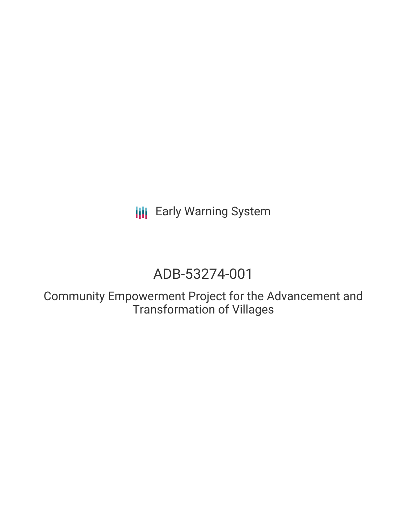**III** Early Warning System

# ADB-53274-001

Community Empowerment Project for the Advancement and Transformation of Villages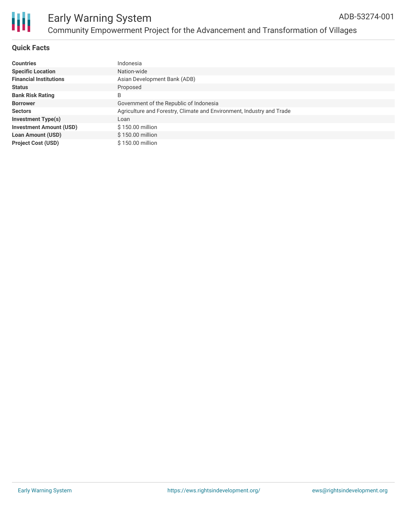

#### **Quick Facts**

| <b>Countries</b>               | Indonesia                                                             |
|--------------------------------|-----------------------------------------------------------------------|
| <b>Specific Location</b>       | Nation-wide                                                           |
| <b>Financial Institutions</b>  | Asian Development Bank (ADB)                                          |
| <b>Status</b>                  | Proposed                                                              |
| <b>Bank Risk Rating</b>        | B                                                                     |
| <b>Borrower</b>                | Government of the Republic of Indonesia                               |
| <b>Sectors</b>                 | Agriculture and Forestry, Climate and Environment, Industry and Trade |
| <b>Investment Type(s)</b>      | Loan                                                                  |
| <b>Investment Amount (USD)</b> | \$150.00 million                                                      |
| <b>Loan Amount (USD)</b>       | \$150.00 million                                                      |
| <b>Project Cost (USD)</b>      | \$150.00 million                                                      |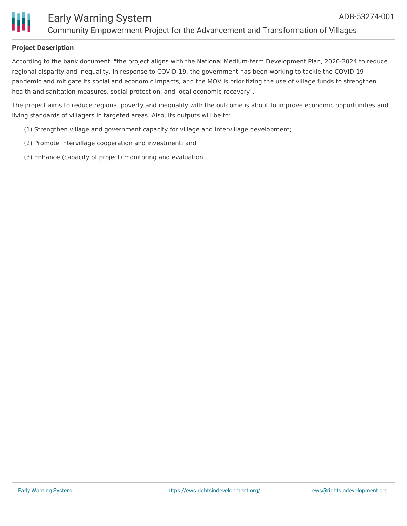### **Project Description**

According to the bank document, "the project aligns with the National Medium-term Development Plan, 2020-2024 to reduce regional disparity and inequality. In response to COVID-19, the government has been working to tackle the COVID-19 pandemic and mitigate its social and economic impacts, and the MOV is prioritizing the use of village funds to strengthen health and sanitation measures, social protection, and local economic recovery".

The project aims to reduce regional poverty and inequality with the outcome is about to improve economic opportunities and living standards of villagers in targeted areas. Also, its outputs will be to:

- (1) Strengthen village and government capacity for village and intervillage development;
- (2) Promote intervillage cooperation and investment; and
- (3) Enhance (capacity of project) monitoring and evaluation.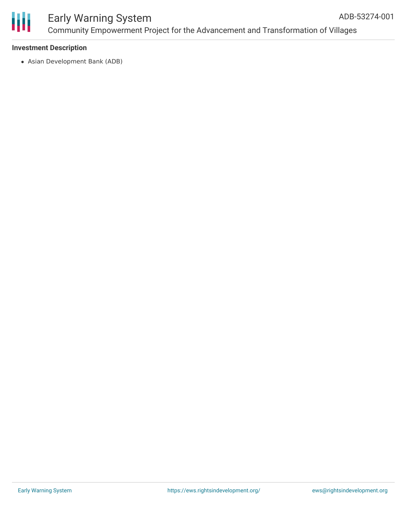

#### Early Warning System Community Empowerment Project for the Advancement and Transformation of Villages ADB-53274-001

#### **Investment Description**

Asian Development Bank (ADB)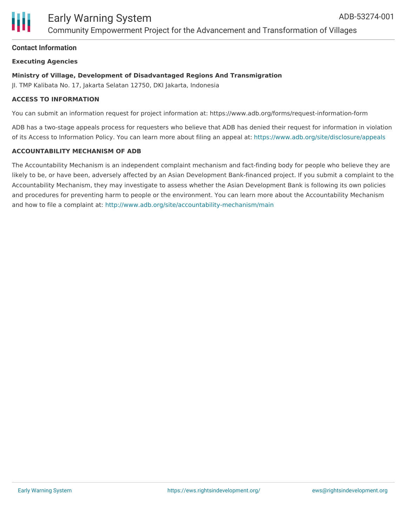

#### **Contact Information**

#### **Executing Agencies**

#### **Ministry of Village, Development of Disadvantaged Regions And Transmigration**

JI. TMP Kalibata No. 17, Jakarta Selatan 12750, DKI Jakarta, Indonesia

#### **ACCESS TO INFORMATION**

You can submit an information request for project information at: https://www.adb.org/forms/request-information-form

ADB has a two-stage appeals process for requesters who believe that ADB has denied their request for information in violation of its Access to Information Policy. You can learn more about filing an appeal at: <https://www.adb.org/site/disclosure/appeals>

#### **ACCOUNTABILITY MECHANISM OF ADB**

The Accountability Mechanism is an independent complaint mechanism and fact-finding body for people who believe they are likely to be, or have been, adversely affected by an Asian Development Bank-financed project. If you submit a complaint to the Accountability Mechanism, they may investigate to assess whether the Asian Development Bank is following its own policies and procedures for preventing harm to people or the environment. You can learn more about the Accountability Mechanism and how to file a complaint at: <http://www.adb.org/site/accountability-mechanism/main>